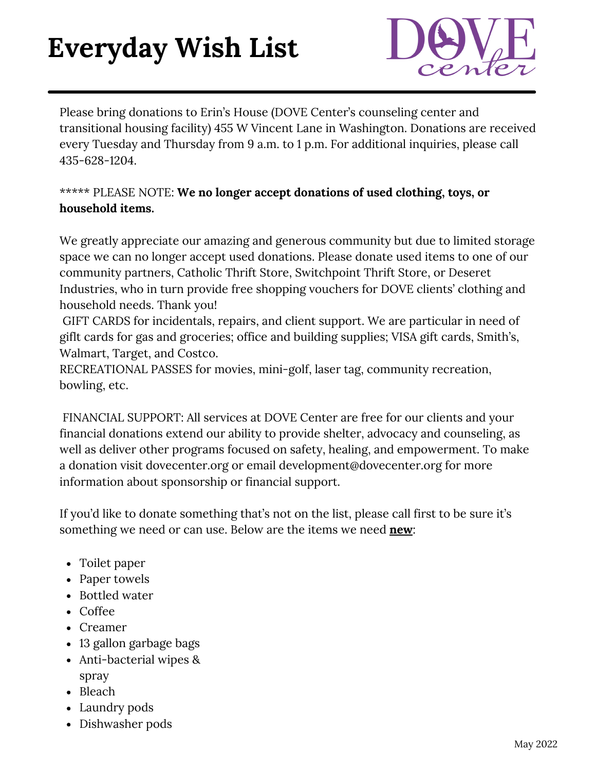## **Everyday Wish List**



Please bring donations to Erin's House (DOVE Center's counseling center and transitional housing facility) 455 W Vincent Lane in Washington. Donations are received every Tuesday and Thursday from 9 a.m. to 1 p.m. For additional inquiries, please call 435-628-1204.

## \*\*\*\*\* PLEASE NOTE: **We no longer accept donations of used clothing, toys, or household items.**

We greatly appreciate our amazing and generous community but due to limited storage space we can no longer accept used donations. Please donate used items to one of our community partners, Catholic Thrift Store, Switchpoint Thrift Store, or Deseret Industries, who in turn provide free shopping vouchers for DOVE clients' clothing and household needs. Thank you!

GIFT CARDS for incidentals, repairs, and client support. We are particular in need of giflt cards for gas and groceries; office and building supplies; VISA gift cards, Smith's, Walmart, Target, and Costco.

RECREATIONAL PASSES for movies, mini-golf, laser tag, community recreation, bowling, etc.

FINANCIAL SUPPORT: All services at DOVE Center are free for our clients and your financial donations extend our ability to provide shelter, advocacy and counseling, as well as deliver other programs focused on safety, healing, and empowerment. To make a donation visit dovecenter.org or email development@dovecenter.org for more information about sponsorship or financial support.

If you'd like to donate something that's not on the list, please call first to be sure it's something we need or can use. Below are the items we need **new**:

- Toilet paper
- Paper towels
- Bottled water
- Coffee
- Creamer
- 13 gallon garbage bags
- Anti-bacterial wipes & spray
- Bleach
- Laundry pods
- Dishwasher pods